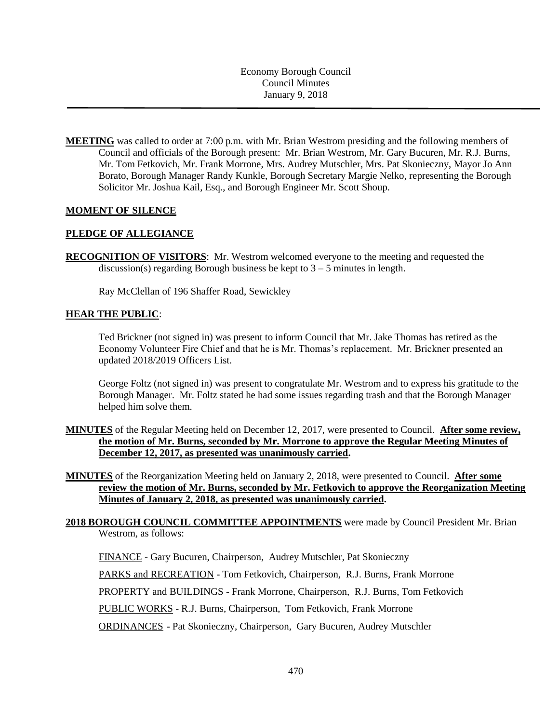Economy Borough Council Council Minutes January 9, 2018

**MEETING** was called to order at 7:00 p.m. with Mr. Brian Westrom presiding and the following members of Council and officials of the Borough present: Mr. Brian Westrom, Mr. Gary Bucuren, Mr. R.J. Burns, Mr. Tom Fetkovich, Mr. Frank Morrone, Mrs. Audrey Mutschler, Mrs. Pat Skonieczny, Mayor Jo Ann Borato, Borough Manager Randy Kunkle, Borough Secretary Margie Nelko, representing the Borough Solicitor Mr. Joshua Kail, Esq., and Borough Engineer Mr. Scott Shoup.

## **MOMENT OF SILENCE**

# **PLEDGE OF ALLEGIANCE**

**RECOGNITION OF VISITORS**: Mr. Westrom welcomed everyone to the meeting and requested the discussion(s) regarding Borough business be kept to  $3 - 5$  minutes in length.

Ray McClellan of 196 Shaffer Road, Sewickley

### **HEAR THE PUBLIC**:

Ted Brickner (not signed in) was present to inform Council that Mr. Jake Thomas has retired as the Economy Volunteer Fire Chief and that he is Mr. Thomas's replacement. Mr. Brickner presented an updated 2018/2019 Officers List.

George Foltz (not signed in) was present to congratulate Mr. Westrom and to express his gratitude to the Borough Manager. Mr. Foltz stated he had some issues regarding trash and that the Borough Manager helped him solve them.

- **MINUTES** of the Regular Meeting held on December 12, 2017, were presented to Council. **After some review, the motion of Mr. Burns, seconded by Mr. Morrone to approve the Regular Meeting Minutes of December 12, 2017, as presented was unanimously carried.**
- **MINUTES** of the Reorganization Meeting held on January 2, 2018, were presented to Council. **After some review the motion of Mr. Burns, seconded by Mr. Fetkovich to approve the Reorganization Meeting Minutes of January 2, 2018, as presented was unanimously carried.**

# **2018 BOROUGH COUNCIL COMMITTEE APPOINTMENTS** were made by Council President Mr. Brian Westrom, as follows:

FINANCE - Gary Bucuren, Chairperson, Audrey Mutschler, Pat Skonieczny

PARKS and RECREATION - Tom Fetkovich, Chairperson, R.J. Burns, Frank Morrone

PROPERTY and BUILDINGS - Frank Morrone, Chairperson, R.J. Burns, Tom Fetkovich

PUBLIC WORKS - R.J. Burns, Chairperson, Tom Fetkovich, Frank Morrone

ORDINANCES - Pat Skonieczny, Chairperson, Gary Bucuren, Audrey Mutschler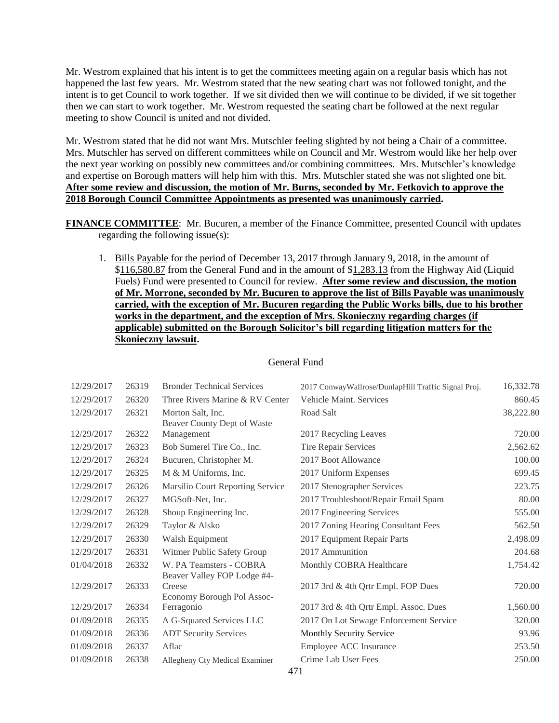Mr. Westrom explained that his intent is to get the committees meeting again on a regular basis which has not happened the last few years. Mr. Westrom stated that the new seating chart was not followed tonight, and the intent is to get Council to work together. If we sit divided then we will continue to be divided, if we sit together then we can start to work together. Mr. Westrom requested the seating chart be followed at the next regular meeting to show Council is united and not divided.

Mr. Westrom stated that he did not want Mrs. Mutschler feeling slighted by not being a Chair of a committee. Mrs. Mutschler has served on different committees while on Council and Mr. Westrom would like her help over the next year working on possibly new committees and/or combining committees. Mrs. Mutschler's knowledge and expertise on Borough matters will help him with this. Mrs. Mutschler stated she was not slighted one bit. **After some review and discussion, the motion of Mr. Burns, seconded by Mr. Fetkovich to approve the 2018 Borough Council Committee Appointments as presented was unanimously carried.**

**FINANCE COMMITTEE**: Mr. Bucuren, a member of the Finance Committee, presented Council with updates regarding the following issue(s):

1. Bills Payable for the period of December 13, 2017 through January 9, 2018, in the amount of \$116,580.87 from the General Fund and in the amount of \$1,283.13 from the Highway Aid (Liquid Fuels) Fund were presented to Council for review. **After some review and discussion, the motion of Mr. Morrone, seconded by Mr. Bucuren to approve the list of Bills Payable was unanimously carried, with the exception of Mr. Bucuren regarding the Public Works bills, due to his brother works in the department, and the exception of Mrs. Skonieczny regarding charges (if applicable) submitted on the Borough Solicitor's bill regarding litigation matters for the Skonieczny lawsuit.**

| 12/29/2017 | 26319 | <b>Bronder Technical Services</b> | 2017 Conway Wallrose/DunlapHill Traffic Signal Proj. | 16,332.78 |
|------------|-------|-----------------------------------|------------------------------------------------------|-----------|
| 12/29/2017 | 26320 | Three Rivers Marine & RV Center   | Vehicle Maint. Services                              | 860.45    |
| 12/29/2017 | 26321 | Morton Salt, Inc.                 | Road Salt                                            | 38,222.80 |
|            |       | Beaver County Dept of Waste       |                                                      |           |
| 12/29/2017 | 26322 | Management                        | 2017 Recycling Leaves                                | 720.00    |
| 12/29/2017 | 26323 | Bob Sumerel Tire Co., Inc.        | Tire Repair Services                                 | 2,562.62  |
| 12/29/2017 | 26324 | Bucuren, Christopher M.           | 2017 Boot Allowance                                  | 100.00    |
| 12/29/2017 | 26325 | M & M Uniforms, Inc.              | 2017 Uniform Expenses                                | 699.45    |
| 12/29/2017 | 26326 | Marsilio Court Reporting Service  | 2017 Stenographer Services                           | 223.75    |
| 12/29/2017 | 26327 | MGSoft-Net, Inc.                  | 2017 Troubleshoot/Repair Email Spam                  | 80.00     |
| 12/29/2017 | 26328 | Shoup Engineering Inc.            | 2017 Engineering Services                            | 555.00    |
| 12/29/2017 | 26329 | Taylor & Alsko                    | 2017 Zoning Hearing Consultant Fees                  | 562.50    |
| 12/29/2017 | 26330 | Walsh Equipment                   | 2017 Equipment Repair Parts                          | 2,498.09  |
| 12/29/2017 | 26331 | Witmer Public Safety Group        | 2017 Ammunition                                      | 204.68    |
| 01/04/2018 | 26332 | W. PA Teamsters - COBRA           | Monthly COBRA Healthcare                             | 1,754.42  |
|            |       | Beaver Valley FOP Lodge #4-       |                                                      |           |
| 12/29/2017 | 26333 | Creese                            | 2017 3rd & 4th Qrtr Empl. FOP Dues                   | 720.00    |
|            |       | Economy Borough Pol Assoc-        |                                                      |           |
| 12/29/2017 | 26334 | Ferragonio                        | 2017 3rd & 4th Qrtr Empl. Assoc. Dues                | 1,560.00  |
| 01/09/2018 | 26335 | A G-Squared Services LLC          | 2017 On Lot Sewage Enforcement Service               | 320.00    |
| 01/09/2018 | 26336 | <b>ADT Security Services</b>      | Monthly Security Service                             | 93.96     |
| 01/09/2018 | 26337 | Aflac                             | Employee ACC Insurance                               | 253.50    |
| 01/09/2018 | 26338 | Allegheny Cty Medical Examiner    | Crime Lab User Fees                                  | 250.00    |
|            |       |                                   | 471                                                  |           |

#### General Fund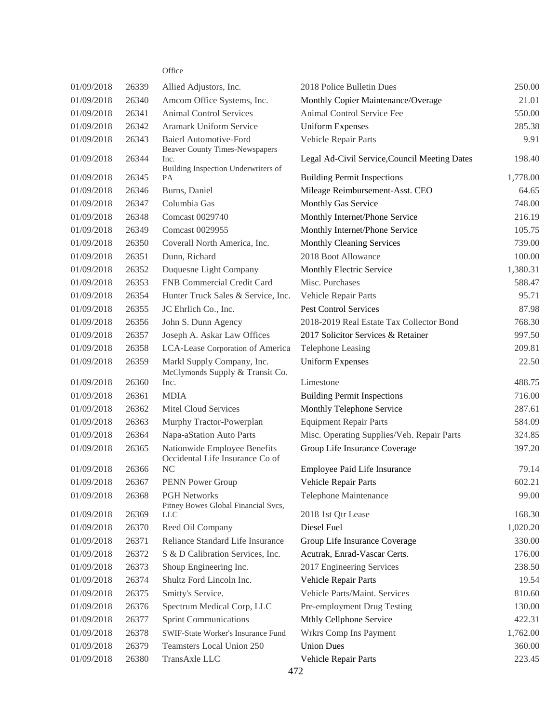### **Office**

| 01/09/2018 | 26339 | Allied Adjustors, Inc.                                                 | 2018 Police Bulletin Dues                     | 250.00   |
|------------|-------|------------------------------------------------------------------------|-----------------------------------------------|----------|
| 01/09/2018 | 26340 | Amcom Office Systems, Inc.                                             | Monthly Copier Maintenance/Overage            | 21.01    |
| 01/09/2018 | 26341 | <b>Animal Control Services</b>                                         | Animal Control Service Fee                    | 550.00   |
| 01/09/2018 | 26342 | Aramark Uniform Service                                                | <b>Uniform Expenses</b>                       | 285.38   |
| 01/09/2018 | 26343 | <b>Baierl Automotive-Ford</b><br><b>Beaver County Times-Newspapers</b> | Vehicle Repair Parts                          | 9.91     |
| 01/09/2018 | 26344 | Inc.<br>Building Inspection Underwriters of                            | Legal Ad-Civil Service, Council Meeting Dates | 198.40   |
| 01/09/2018 | 26345 | PA                                                                     | <b>Building Permit Inspections</b>            | 1,778.00 |
| 01/09/2018 | 26346 | Burns, Daniel                                                          | Mileage Reimbursement-Asst. CEO               | 64.65    |
| 01/09/2018 | 26347 | Columbia Gas                                                           | Monthly Gas Service                           | 748.00   |
| 01/09/2018 | 26348 | Comcast 0029740                                                        | Monthly Internet/Phone Service                | 216.19   |
| 01/09/2018 | 26349 | Comcast 0029955                                                        | Monthly Internet/Phone Service                | 105.75   |
| 01/09/2018 | 26350 | Coverall North America, Inc.                                           | Monthly Cleaning Services                     | 739.00   |
| 01/09/2018 | 26351 | Dunn, Richard                                                          | 2018 Boot Allowance                           | 100.00   |
| 01/09/2018 | 26352 | Duquesne Light Company                                                 | Monthly Electric Service                      | 1,380.31 |
| 01/09/2018 | 26353 | FNB Commercial Credit Card                                             | Misc. Purchases                               | 588.47   |
| 01/09/2018 | 26354 | Hunter Truck Sales & Service, Inc.                                     | Vehicle Repair Parts                          | 95.71    |
| 01/09/2018 | 26355 | JC Ehrlich Co., Inc.                                                   | Pest Control Services                         | 87.98    |
| 01/09/2018 | 26356 | John S. Dunn Agency                                                    | 2018-2019 Real Estate Tax Collector Bond      | 768.30   |
| 01/09/2018 | 26357 | Joseph A. Askar Law Offices                                            | 2017 Solicitor Services & Retainer            | 997.50   |
| 01/09/2018 | 26358 | LCA-Lease Corporation of America                                       | <b>Telephone Leasing</b>                      | 209.81   |
| 01/09/2018 | 26359 | Markl Supply Company, Inc.<br>McClymonds Supply & Transit Co.          | <b>Uniform Expenses</b>                       | 22.50    |
| 01/09/2018 | 26360 | Inc.                                                                   | Limestone                                     | 488.75   |
| 01/09/2018 | 26361 | <b>MDIA</b>                                                            | <b>Building Permit Inspections</b>            | 716.00   |
| 01/09/2018 | 26362 | Mitel Cloud Services                                                   | Monthly Telephone Service                     | 287.61   |
| 01/09/2018 | 26363 | Murphy Tractor-Powerplan                                               | <b>Equipment Repair Parts</b>                 | 584.09   |
| 01/09/2018 | 26364 | Napa-aStation Auto Parts                                               | Misc. Operating Supplies/Veh. Repair Parts    | 324.85   |
| 01/09/2018 | 26365 | Nationwide Employee Benefits<br>Occidental Life Insurance Co of        | Group Life Insurance Coverage                 | 397.20   |
| 01/09/2018 | 26366 | N <sub>C</sub>                                                         | Employee Paid Life Insurance                  | 79.14    |
| 01/09/2018 | 26367 | PENN Power Group                                                       | Vehicle Repair Parts                          | 602.21   |
| 01/09/2018 | 26368 | <b>PGH Networks</b><br>Pitney Bowes Global Financial Svcs,             | Telephone Maintenance                         | 99.00    |
| 01/09/2018 | 26369 | <b>LLC</b>                                                             | 2018 1st Qtr Lease                            | 168.30   |
| 01/09/2018 | 26370 | Reed Oil Company                                                       | Diesel Fuel                                   | 1,020.20 |
| 01/09/2018 | 26371 | Reliance Standard Life Insurance                                       | Group Life Insurance Coverage                 | 330.00   |
| 01/09/2018 | 26372 | S & D Calibration Services, Inc.                                       | Acutrak, Enrad-Vascar Certs.                  | 176.00   |
| 01/09/2018 | 26373 | Shoup Engineering Inc.                                                 | 2017 Engineering Services                     | 238.50   |
| 01/09/2018 | 26374 | Shultz Ford Lincoln Inc.                                               | Vehicle Repair Parts                          | 19.54    |
| 01/09/2018 | 26375 | Smitty's Service.                                                      | Vehicle Parts/Maint. Services                 | 810.60   |
| 01/09/2018 | 26376 | Spectrum Medical Corp, LLC                                             | Pre-employment Drug Testing                   | 130.00   |
| 01/09/2018 | 26377 | <b>Sprint Communications</b>                                           | Mthly Cellphone Service                       | 422.31   |
| 01/09/2018 | 26378 | SWIF-State Worker's Insurance Fund                                     | Wrkrs Comp Ins Payment                        | 1,762.00 |
| 01/09/2018 | 26379 | Teamsters Local Union 250                                              | <b>Union Dues</b>                             | 360.00   |
| 01/09/2018 | 26380 | TransAxle LLC                                                          | Vehicle Repair Parts                          | 223.45   |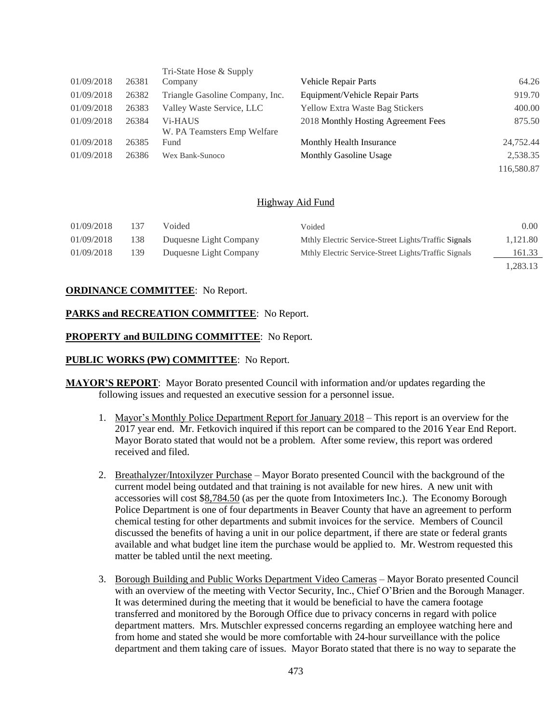|            |       | Tri-State Hose & Supply                             |                                        |            |
|------------|-------|-----------------------------------------------------|----------------------------------------|------------|
| 01/09/2018 | 26381 | Company                                             | <b>Vehicle Repair Parts</b>            | 64.26      |
| 01/09/2018 | 26382 | Triangle Gasoline Company, Inc.                     | Equipment/Vehicle Repair Parts         | 919.70     |
| 01/09/2018 | 26383 | Valley Waste Service, LLC                           | <b>Yellow Extra Waste Bag Stickers</b> | 400.00     |
| 01/09/2018 | 26384 | V <sub>i</sub> -HAUS<br>W. PA Teamsters Emp Welfare | 2018 Monthly Hosting Agreement Fees    | 875.50     |
| 01/09/2018 | 26385 | Fund                                                | Monthly Health Insurance               | 24,752.44  |
| 01/09/2018 | 26386 | Wex Bank-Sunoco                                     | <b>Monthly Gasoline Usage</b>          | 2,538.35   |
|            |       |                                                     |                                        | 116,580.87 |

#### Highway Aid Fund

| 01/09/2018 | 137 | Voided                 | Voided                                               | 0.00     |
|------------|-----|------------------------|------------------------------------------------------|----------|
| 01/09/2018 | 138 | Duquesne Light Company | Mthly Electric Service-Street Lights/Traffic Signals | 1,121.80 |
| 01/09/2018 | 139 | Duquesne Light Company | Mthly Electric Service-Street Lights/Traffic Signals | 161.33   |
|            |     |                        |                                                      | 1 283 13 |

#### **ORDINANCE COMMITTEE**: No Report.

#### **PARKS and RECREATION COMMITTEE**: No Report.

### **PROPERTY and BUILDING COMMITTEE**: No Report.

#### **PUBLIC WORKS (PW) COMMITTEE**: No Report.

- **MAYOR'S REPORT**: Mayor Borato presented Council with information and/or updates regarding the following issues and requested an executive session for a personnel issue.
	- 1. Mayor's Monthly Police Department Report for January 2018 This report is an overview for the 2017 year end. Mr. Fetkovich inquired if this report can be compared to the 2016 Year End Report. Mayor Borato stated that would not be a problem. After some review, this report was ordered received and filed.
	- 2. Breathalyzer/Intoxilyzer Purchase Mayor Borato presented Council with the background of the current model being outdated and that training is not available for new hires. A new unit with accessories will cost \$8,784.50 (as per the quote from Intoximeters Inc.). The Economy Borough Police Department is one of four departments in Beaver County that have an agreement to perform chemical testing for other departments and submit invoices for the service. Members of Council discussed the benefits of having a unit in our police department, if there are state or federal grants available and what budget line item the purchase would be applied to. Mr. Westrom requested this matter be tabled until the next meeting.
	- 3. Borough Building and Public Works Department Video Cameras Mayor Borato presented Council with an overview of the meeting with Vector Security, Inc., Chief O'Brien and the Borough Manager. It was determined during the meeting that it would be beneficial to have the camera footage transferred and monitored by the Borough Office due to privacy concerns in regard with police department matters. Mrs. Mutschler expressed concerns regarding an employee watching here and from home and stated she would be more comfortable with 24-hour surveillance with the police department and them taking care of issues. Mayor Borato stated that there is no way to separate the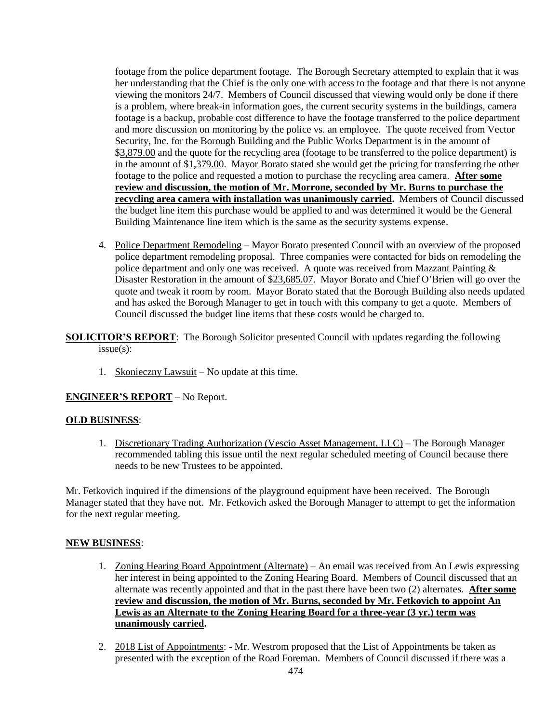footage from the police department footage. The Borough Secretary attempted to explain that it was her understanding that the Chief is the only one with access to the footage and that there is not anyone viewing the monitors 24/7. Members of Council discussed that viewing would only be done if there is a problem, where break-in information goes, the current security systems in the buildings, camera footage is a backup, probable cost difference to have the footage transferred to the police department and more discussion on monitoring by the police vs. an employee. The quote received from Vector Security, Inc. for the Borough Building and the Public Works Department is in the amount of \$3,879.00 and the quote for the recycling area (footage to be transferred to the police department) is in the amount of \$1,379.00. Mayor Borato stated she would get the pricing for transferring the other footage to the police and requested a motion to purchase the recycling area camera. **After some review and discussion, the motion of Mr. Morrone, seconded by Mr. Burns to purchase the recycling area camera with installation was unanimously carried.** Members of Council discussed the budget line item this purchase would be applied to and was determined it would be the General Building Maintenance line item which is the same as the security systems expense.

4. Police Department Remodeling – Mayor Borato presented Council with an overview of the proposed police department remodeling proposal. Three companies were contacted for bids on remodeling the police department and only one was received. A quote was received from Mazzant Painting & Disaster Restoration in the amount of \$23,685.07. Mayor Borato and Chief O'Brien will go over the quote and tweak it room by room. Mayor Borato stated that the Borough Building also needs updated and has asked the Borough Manager to get in touch with this company to get a quote. Members of Council discussed the budget line items that these costs would be charged to.

**SOLICITOR'S REPORT**: The Borough Solicitor presented Council with updates regarding the following issue(s):

1. Skonieczny Lawsuit – No update at this time.

## **ENGINEER'S REPORT** – No Report.

## **OLD BUSINESS**:

1. Discretionary Trading Authorization (Vescio Asset Management, LLC) – The Borough Manager recommended tabling this issue until the next regular scheduled meeting of Council because there needs to be new Trustees to be appointed.

Mr. Fetkovich inquired if the dimensions of the playground equipment have been received. The Borough Manager stated that they have not. Mr. Fetkovich asked the Borough Manager to attempt to get the information for the next regular meeting.

#### **NEW BUSINESS**:

- 1. Zoning Hearing Board Appointment (Alternate) An email was received from An Lewis expressing her interest in being appointed to the Zoning Hearing Board. Members of Council discussed that an alternate was recently appointed and that in the past there have been two (2) alternates. **After some review and discussion, the motion of Mr. Burns, seconded by Mr. Fetkovich to appoint An Lewis as an Alternate to the Zoning Hearing Board for a three-year (3 yr.) term was unanimously carried.**
- 2. 2018 List of Appointments: Mr. Westrom proposed that the List of Appointments be taken as presented with the exception of the Road Foreman. Members of Council discussed if there was a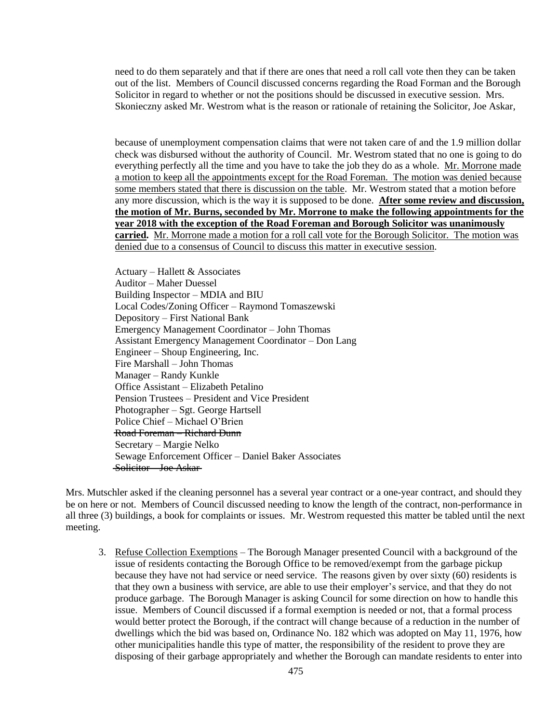need to do them separately and that if there are ones that need a roll call vote then they can be taken out of the list. Members of Council discussed concerns regarding the Road Forman and the Borough Solicitor in regard to whether or not the positions should be discussed in executive session. Mrs. Skonieczny asked Mr. Westrom what is the reason or rationale of retaining the Solicitor, Joe Askar,

because of unemployment compensation claims that were not taken care of and the 1.9 million dollar check was disbursed without the authority of Council. Mr. Westrom stated that no one is going to do everything perfectly all the time and you have to take the job they do as a whole. Mr. Morrone made a motion to keep all the appointments except for the Road Foreman. The motion was denied because some members stated that there is discussion on the table. Mr. Westrom stated that a motion before any more discussion, which is the way it is supposed to be done. **After some review and discussion, the motion of Mr. Burns, seconded by Mr. Morrone to make the following appointments for the year 2018 with the exception of the Road Foreman and Borough Solicitor was unanimously carried.** Mr. Morrone made a motion for a roll call vote for the Borough Solicitor. The motion was denied due to a consensus of Council to discuss this matter in executive session.

Actuary – Hallett & Associates Auditor – Maher Duessel Building Inspector – MDIA and BIU Local Codes/Zoning Officer – Raymond Tomaszewski Depository – First National Bank Emergency Management Coordinator – John Thomas Assistant Emergency Management Coordinator – Don Lang Engineer – Shoup Engineering, Inc. Fire Marshall – John Thomas Manager – Randy Kunkle Office Assistant – Elizabeth Petalino Pension Trustees – President and Vice President Photographer – Sgt. George Hartsell Police Chief – Michael O'Brien Road Foreman – Richard Dunn Secretary – Margie Nelko Sewage Enforcement Officer – Daniel Baker Associates Solicitor – Joe Askar

Mrs. Mutschler asked if the cleaning personnel has a several year contract or a one-year contract, and should they be on here or not. Members of Council discussed needing to know the length of the contract, non-performance in all three (3) buildings, a book for complaints or issues. Mr. Westrom requested this matter be tabled until the next meeting.

3. Refuse Collection Exemptions – The Borough Manager presented Council with a background of the issue of residents contacting the Borough Office to be removed/exempt from the garbage pickup because they have not had service or need service. The reasons given by over sixty (60) residents is that they own a business with service, are able to use their employer's service, and that they do not produce garbage. The Borough Manager is asking Council for some direction on how to handle this issue. Members of Council discussed if a formal exemption is needed or not, that a formal process would better protect the Borough, if the contract will change because of a reduction in the number of dwellings which the bid was based on, Ordinance No. 182 which was adopted on May 11, 1976, how other municipalities handle this type of matter, the responsibility of the resident to prove they are disposing of their garbage appropriately and whether the Borough can mandate residents to enter into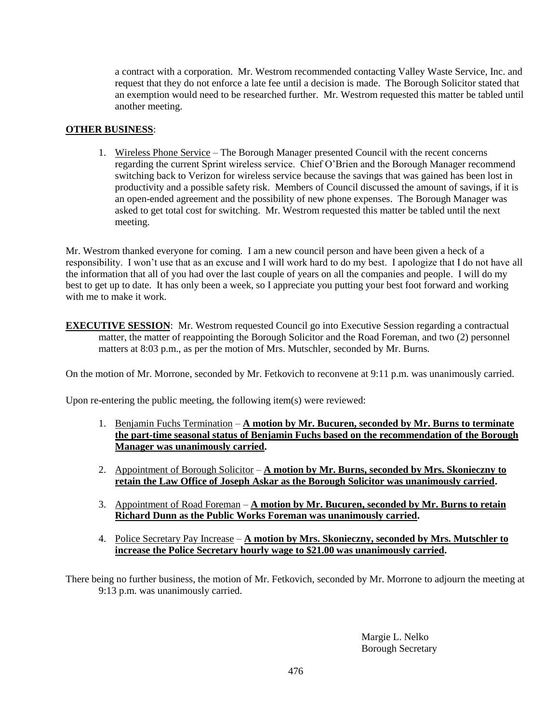a contract with a corporation. Mr. Westrom recommended contacting Valley Waste Service, Inc. and request that they do not enforce a late fee until a decision is made. The Borough Solicitor stated that an exemption would need to be researched further. Mr. Westrom requested this matter be tabled until another meeting.

## **OTHER BUSINESS**:

1. Wireless Phone Service – The Borough Manager presented Council with the recent concerns regarding the current Sprint wireless service. Chief O'Brien and the Borough Manager recommend switching back to Verizon for wireless service because the savings that was gained has been lost in productivity and a possible safety risk. Members of Council discussed the amount of savings, if it is an open-ended agreement and the possibility of new phone expenses. The Borough Manager was asked to get total cost for switching. Mr. Westrom requested this matter be tabled until the next meeting.

Mr. Westrom thanked everyone for coming. I am a new council person and have been given a heck of a responsibility. I won't use that as an excuse and I will work hard to do my best. I apologize that I do not have all the information that all of you had over the last couple of years on all the companies and people. I will do my best to get up to date. It has only been a week, so I appreciate you putting your best foot forward and working with me to make it work.

**EXECUTIVE SESSION:** Mr. Westrom requested Council go into Executive Session regarding a contractual matter, the matter of reappointing the Borough Solicitor and the Road Foreman, and two (2) personnel matters at 8:03 p.m., as per the motion of Mrs. Mutschler, seconded by Mr. Burns.

On the motion of Mr. Morrone, seconded by Mr. Fetkovich to reconvene at 9:11 p.m. was unanimously carried.

Upon re-entering the public meeting, the following item(s) were reviewed:

- 1. Benjamin Fuchs Termination **A motion by Mr. Bucuren, seconded by Mr. Burns to terminate the part-time seasonal status of Benjamin Fuchs based on the recommendation of the Borough Manager was unanimously carried.**
- 2. Appointment of Borough Solicitor **A motion by Mr. Burns, seconded by Mrs. Skonieczny to retain the Law Office of Joseph Askar as the Borough Solicitor was unanimously carried.**
- 3. Appointment of Road Foreman **A motion by Mr. Bucuren, seconded by Mr. Burns to retain Richard Dunn as the Public Works Foreman was unanimously carried.**
- 4. Police Secretary Pay Increase **A motion by Mrs. Skonieczny, seconded by Mrs. Mutschler to increase the Police Secretary hourly wage to \$21.00 was unanimously carried.**

There being no further business, the motion of Mr. Fetkovich, seconded by Mr. Morrone to adjourn the meeting at 9:13 p.m. was unanimously carried.

> Margie L. Nelko Borough Secretary